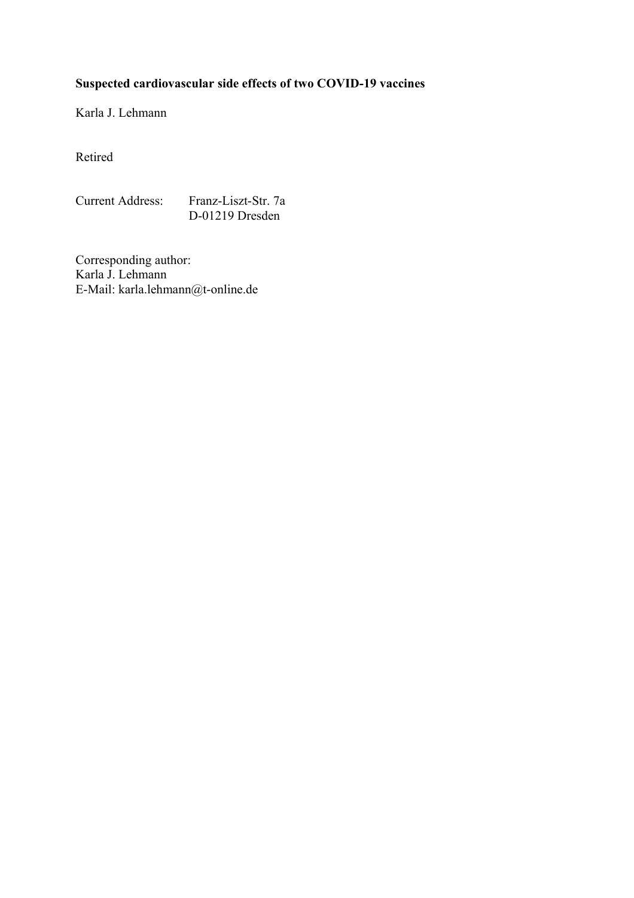# **Suspected cardiovascular side effects of two COVID-19 vaccines**

Karla J. Lehmann

Retired

Current Address: Franz-Liszt-Str. 7a D-01219 Dresden

Corresponding author: Karla J. Lehmann E-Mail: karla.lehmann@t-online.de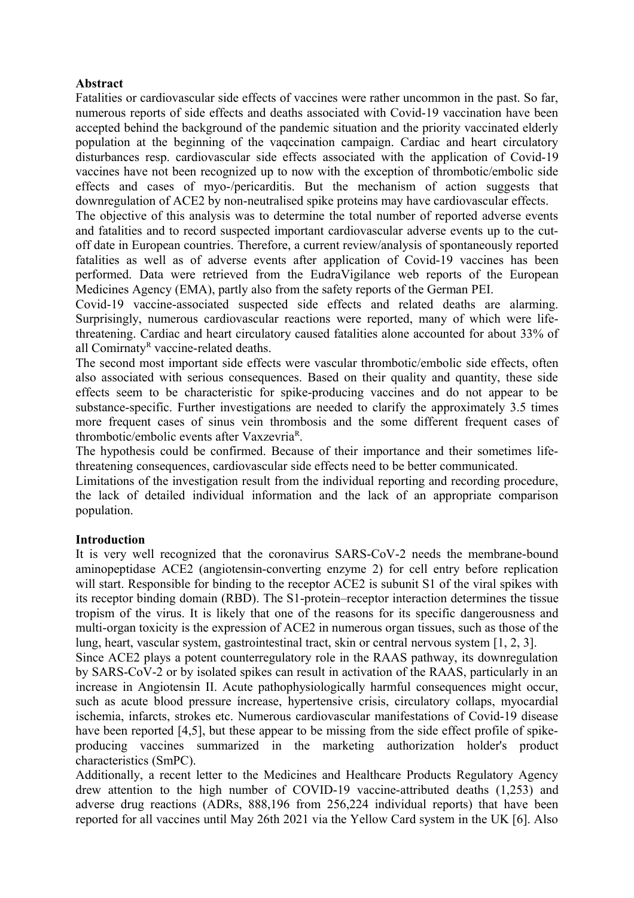## **Abstract**

Fatalities or cardiovascular side effects of vaccines were rather uncommon in the past. So far, numerous reports of side effects and deaths associated with Covid-19 vaccination have been accepted behind the background of the pandemic situation and the priority vaccinated elderly population at the beginning of the vaqccination campaign. Cardiac and heart circulatory disturbances resp. cardiovascular side effects associated with the application of Covid-19 vaccines have not been recognized up to now with the exception of thrombotic/embolic side effects and cases of myo-/pericarditis. But the mechanism of action suggests that downregulation of ACE2 by non-neutralised spike proteins may have cardiovascular effects.

The objective of this analysis was to determine the total number of reported adverse events and fatalities and to record suspected important cardiovascular adverse events up to the cutoff date in European countries. Therefore, a current review/analysis of spontaneously reported fatalities as well as of adverse events after application of Covid-19 vaccines has been performed. Data were retrieved from the EudraVigilance web reports of the European Medicines Agency (EMA), partly also from the safety reports of the German PEI.

Covid-19 vaccine-associated suspected side effects and related deaths are alarming. Surprisingly, numerous cardiovascular reactions were reported, many of which were lifethreatening. Cardiac and heart circulatory caused fatalities alone accounted for about 33% of all Comirnaty<sup>R</sup> vaccine-related deaths.

The second most important side effects were vascular thrombotic/embolic side effects, often also associated with serious consequences. Based on their quality and quantity, these side effects seem to be characteristic for spike-producing vaccines and do not appear to be substance-specific. Further investigations are needed to clarify the approximately 3.5 times more frequent cases of sinus vein thrombosis and the some different frequent cases of thrombotic/embolic events after Vaxzevria<sup>R</sup>.

The hypothesis could be confirmed. Because of their importance and their sometimes lifethreatening consequences, cardiovascular side effects need to be better communicated.

Limitations of the investigation result from the individual reporting and recording procedure, the lack of detailed individual information and the lack of an appropriate comparison population.

# **Introduction**

It is very well recognized that the coronavirus SARS-CoV-2 needs the membrane-bound aminopeptidase ACE2 (angiotensin-converting enzyme 2) for cell entry before replication will start. Responsible for binding to the receptor ACE2 is subunit S1 of the viral spikes with its receptor binding domain (RBD). The S1-protein–receptor interaction determines the tissue tropism of the virus. It is likely that one of the reasons for its specific dangerousness and multi-organ toxicity is the expression of ACE2 in numerous organ tissues, such as those of the lung, heart, vascular system, gastrointestinal tract, skin or central nervous system [1, 2, 3].

Since ACE2 plays a potent counterregulatory role in the RAAS pathway, its downregulation by SARS-CoV-2 or by isolated spikes can result in activation of the RAAS, particularly in an increase in Angiotensin II. Acute pathophysiologically harmful consequences might occur, such as acute blood pressure íncrease, hypertensive crisis, circulatory collaps, myocardial ischemia, infarcts, strokes etc. Numerous cardiovascular manifestations of Covid-19 disease have been reported [4,5], but these appear to be missing from the side effect profile of spikeproducing vaccines summarized in the marketing authorization holder's product characteristics (SmPC).

Additionally, a recent letter to the Medicines and Healthcare Products Regulatory Agency drew attention to the high number of COVID-19 vaccine-attributed deaths (1,253) and adverse drug reactions (ADRs, 888,196 from 256,224 individual reports) that have been reported for all vaccines until May 26th 2021 via the Yellow Card system in the UK [6]. Also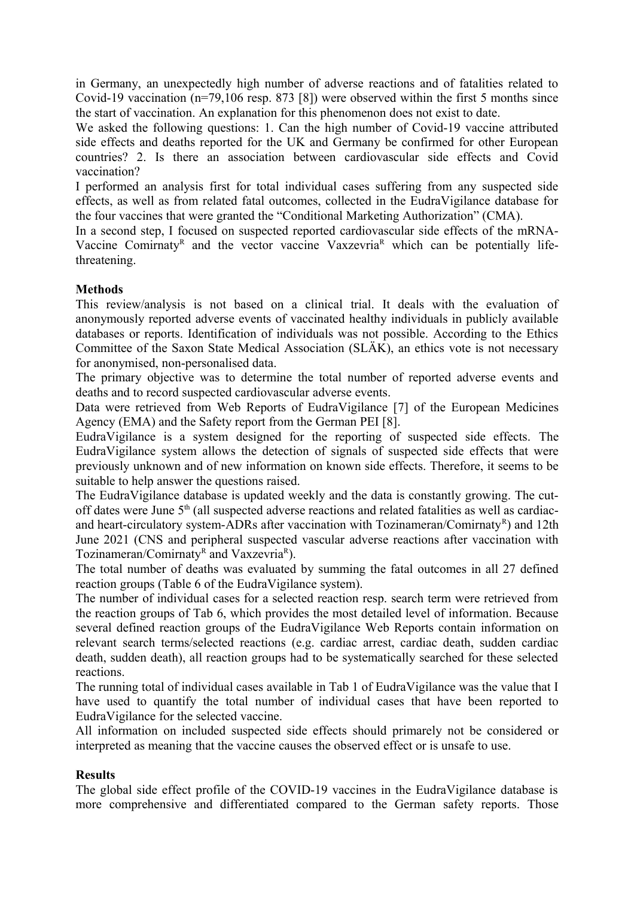in Germany, an unexpectedly high number of adverse reactions and of fatalities related to Covid-19 vaccination (n=79,106 resp. 873 [8]) were observed within the first 5 months since the start of vaccination. An explanation for this phenomenon does not exist to date.

We asked the following questions: 1. Can the high number of Covid-19 vaccine attributed side effects and deaths reported for the UK and Germany be confirmed for other European countries? 2. Is there an association between cardiovascular side effects and Covid vaccination?

I performed an analysis first for total individual cases suffering from any suspected side effects, as well as from related fatal outcomes, collected in the EudraVigilance database for the four vaccines that were granted the "Conditional Marketing Authorization" (CMA).

In a second step, I focused on suspected reported cardiovascular side effects of the mRNA-Vaccine Comirnaty<sup>R</sup> and the vector vaccine Vaxzevria<sup>R</sup> which can be potentially lifethreatening.

# **Methods**

This review/analysis is not based on a clinical trial. It deals with the evaluation of anonymously reported adverse events of vaccinated healthy individuals in publicly available databases or reports. Identification of individuals was not possible. According to the Ethics Committee of the Saxon State Medical Association (SLÄK), an ethics vote is not necessary for anonymised, non-personalised data.

The primary objective was to determine the total number of reported adverse events and deaths and to record suspected cardiovascular adverse events.

Data were retrieved from Web Reports of EudraVigilance [7] of the European Medicines Agency (EMA) and the Safety report from the German PEI [8].

[EudraVigilance](https://www.ema.europa.eu/en/human-regulatory/research-development/pharmacovigilance/eudravigilance) is a system designed for the reporting of suspected side effects. The EudraVigilance system allows the detection of signals of suspected side effects that were previously unknown and of new information on known side effects. Therefore, it seems to be suitable to help answer the questions raised.

The EudraVigilance database is updated weekly and the data is constantly growing. The cutoff dates were June 5<sup>th</sup> (all suspected adverse reactions and related fatalities as well as cardiacand heart-circulatory system-ADRs after vaccination with Tozinameran/Comirnaty<sup>R</sup>) and 12th June 2021 (CNS and peripheral suspected vascular adverse reactions after vaccination with Tozinameran/Comirnaty<sup>R</sup> and Vaxzevria<sup>R</sup>).

The total number of deaths was evaluated by summing the fatal outcomes in all 27 defined reaction groups (Table 6 of the EudraVigilance system).

The number of individual cases for a selected reaction resp. search term were retrieved from the reaction groups of Tab 6, which provides the most detailed level of information. Because several defined reaction groups of the EudraVigilance Web Reports contain information on relevant search terms/selected reactions (e.g. cardiac arrest, cardiac death, sudden cardiac death, sudden death), all reaction groups had to be systematically searched for these selected reactions.

The running total of individual cases available in Tab 1 of EudraVigilance was the value that I have used to quantify the total number of individual cases that have been reported to EudraVigilance for the selected vaccine.

All information on included suspected side effects should primarely not be considered or interpreted as meaning that the vaccine causes the observed effect or is unsafe to use.

#### **Results**

The global side effect profile of the COVID-19 vaccines in the EudraVigilance database is more comprehensive and differentiated compared to the German safety reports. Those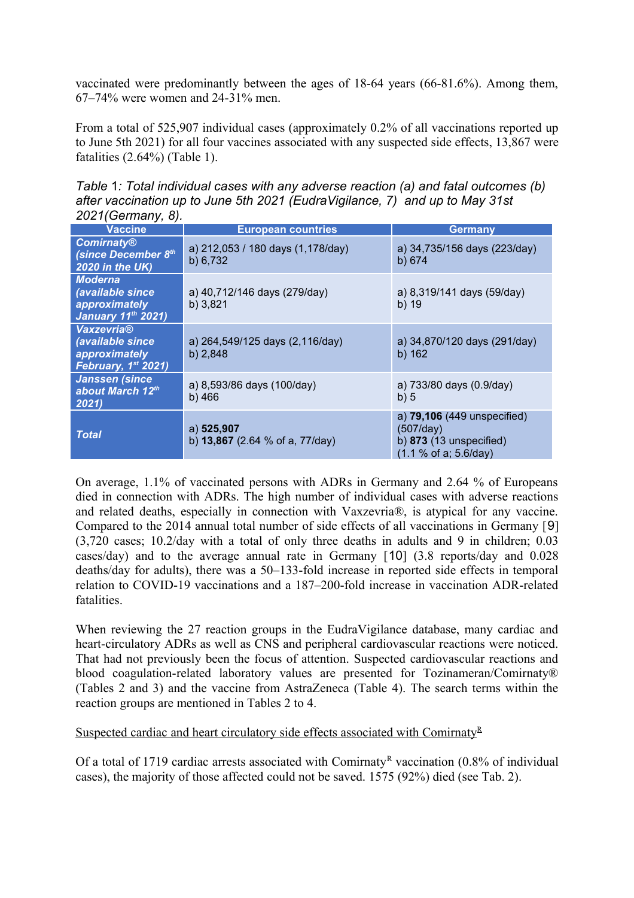vaccinated were predominantly between the ages of 18-64 years (66-81.6%). Among them, 67–74% were women and 24-31% men.

From a total of 525,907 individual cases (approximately 0.2% of all vaccinations reported up to June 5th 2021) for all four vaccines associated with any suspected side effects, 13,867 were fatalities (2.64%) (Table 1).

*Table* 1*: Total individual cases with any adverse reaction (a) and fatal outcomes (b) after vaccination up to June 5th 2021 (EudraVigilance, 7) and up to May 31st 2021(Germany, 8).* 

| <b>Vaccine</b>                                                                     | <b>European countries</b>                       | <b>Germany</b>                                                                                 |
|------------------------------------------------------------------------------------|-------------------------------------------------|------------------------------------------------------------------------------------------------|
| <b>Comirnaty®</b><br>(since December 8th<br>2020 in the UK)                        | a) 212,053 / 180 days (1,178/day)<br>b) 6,732   | a) 34,735/156 days (223/day)<br>b) 674                                                         |
| <b>Moderna</b><br>(available since<br>approximately<br><b>January 11th 2021)</b>   | a) 40,712/146 days (279/day)<br>b) 3,821        | a) 8,319/141 days (59/day)<br>b) 19                                                            |
| <b>Vaxzevria®</b><br>(available since<br>approximately<br>February, $1^{st}$ 2021) | a) 264,549/125 days (2,116/day)<br>b) $2,848$   | a) 34,870/120 days (291/day)<br>b) 162                                                         |
| <b>Janssen (since</b><br>about March 12th<br>2021)                                 | a) 8,593/86 days (100/day)<br>b) 466            | a) 733/80 days (0.9/day)<br>b)5                                                                |
| <b>Total</b>                                                                       | a) 525,907<br>b) $13,867$ (2.64 % of a, 77/day) | a) 79,106 (449 unspecified)<br>(507/day)<br>b) $873$ (13 unspecified)<br>(1.1 % of a; 5.6/day) |

On average, 1.1% of vaccinated persons with ADRs in Germany and 2.64 % of Europeans died in connection with ADRs. The high number of individual cases with adverse reactions and related deaths, especially in connection with Vaxzevria®, is atypical for any vaccine. Compared to the 2014 annual total number of side effects of all vaccinations in Germany [9] (3,720 cases; 10.2/day with a total of only three deaths in adults and 9 in children; 0.03 cases/day) and to the average annual rate in Germany [10] (3.8 reports/day and 0.028 deaths/day for adults), there was a 50–133-fold increase in reported side effects in temporal relation to COVID-19 vaccinations and a 187–200-fold increase in vaccination ADR-related fatalities.

When reviewing the 27 reaction groups in the EudraVigilance database, many cardiac and heart-circulatory ADRs as well as CNS and peripheral cardiovascular reactions were noticed. That had not previously been the focus of attention. Suspected cardiovascular reactions and blood coagulation-related laboratory values are presented for Tozinameran/Comirnaty® (Tables 2 and 3) and the vaccine from AstraZeneca (Table 4). The search terms within the reaction groups are mentioned in Tables 2 to 4.

Suspected cardiac and heart circulatory side effects associated with Comirnaty<sup>R</sup>

Of a total of 1719 cardiac arrests associated with Comirnaty<sup>R</sup> vaccination (0.8% of individual cases), the majority of those affected could not be saved. 1575 (92%) died (see Tab. 2).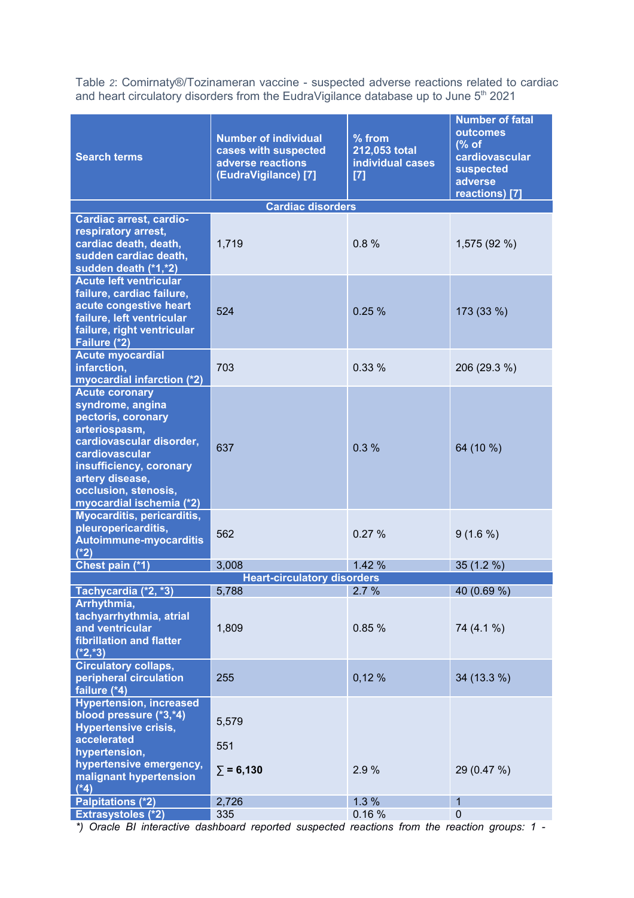Table *2*: Comirnaty®/Tozinameran vaccine - suspected adverse reactions related to cardiac and heart circulatory disorders from the EudraVigilance database up to June  $5<sup>th</sup>$  2021

| <b>Search terms</b>                                                                                                                                                                                                              | <b>Number of individual</b><br>cases with suspected<br>adverse reactions<br>(EudraVigilance) [7] | % from<br>212,053 total<br>individual cases<br>$[7]$ | <b>Number of fatal</b><br>outcomes<br>% of<br>cardiovascular<br>suspected<br>adverse<br>reactions) [7] |
|----------------------------------------------------------------------------------------------------------------------------------------------------------------------------------------------------------------------------------|--------------------------------------------------------------------------------------------------|------------------------------------------------------|--------------------------------------------------------------------------------------------------------|
|                                                                                                                                                                                                                                  | <b>Cardiac disorders</b>                                                                         |                                                      |                                                                                                        |
| <b>Cardiac arrest, cardio-</b><br>respiratory arrest,<br>cardiac death, death,<br>sudden cardiac death,<br>sudden death (*1,*2)                                                                                                  | 1,719                                                                                            | 0.8%                                                 | 1,575 (92 %)                                                                                           |
| <b>Acute left ventricular</b><br>failure, cardiac failure,<br>acute congestive heart<br>failure, left ventricular<br>failure, right ventricular<br>Failure (*2)                                                                  | 524                                                                                              | 0.25%                                                | 173 (33 %)                                                                                             |
| <b>Acute myocardial</b><br>infarction,<br>myocardial infarction (*2)                                                                                                                                                             | 703                                                                                              | 0.33%                                                | 206 (29.3 %)                                                                                           |
| <b>Acute coronary</b><br>syndrome, angina<br>pectoris, coronary<br>arteriospasm,<br>cardiovascular disorder,<br>cardiovascular<br>insufficiency, coronary<br>artery disease,<br>occlusion, stenosis,<br>myocardial ischemia (*2) | 637                                                                                              | 0.3%                                                 | 64 (10 %)                                                                                              |
| Myocarditis, pericarditis,<br>pleuropericarditis,<br>Autoimmune-myocarditis<br>$(*2)$                                                                                                                                            | 562                                                                                              | 0.27%                                                | $9(1.6\%)$                                                                                             |
| Chest pain (*1)                                                                                                                                                                                                                  | 3,008                                                                                            | 1.42 %                                               | $35(1.2\%)$                                                                                            |
|                                                                                                                                                                                                                                  | <b>Heart-circulatory disorders</b>                                                               |                                                      |                                                                                                        |
| Tachycardia (*2, *3)<br>Arrhythmia,<br>tachyarrhythmia, atrial<br>and ventricular<br>fibrillation and flatter<br>$(*2, *3)$                                                                                                      | 5,788<br>1,809                                                                                   | 2.7 %<br>0.85%                                       | 40 (0.69 %)<br>74 (4.1 %)                                                                              |
| <b>Circulatory collaps,</b><br>peripheral circulation<br>failure (*4)                                                                                                                                                            | 255                                                                                              | 0,12%                                                | 34 (13.3 %)                                                                                            |
| <b>Hypertension, increased</b><br>blood pressure (*3,*4)<br><b>Hypertensive crisis,</b><br>accelerated<br>hypertension,<br>hypertensive emergency,                                                                               | 5,579<br>551                                                                                     |                                                      |                                                                                                        |
| malignant hypertension<br>$(*4)$                                                                                                                                                                                                 | $\Sigma = 6,130$                                                                                 | 2.9 %                                                | 29 (0.47 %)                                                                                            |
| <b>Palpitations (*2)</b>                                                                                                                                                                                                         | 2,726                                                                                            | 1.3%                                                 | $\mathbf 1$                                                                                            |
| <b>Extrasystoles (*2)</b>                                                                                                                                                                                                        | 335                                                                                              | 0.16%                                                | $\pmb{0}$                                                                                              |

*\*) Oracle BI interactive dashboard reported suspected reactions from the reaction groups: 1 -*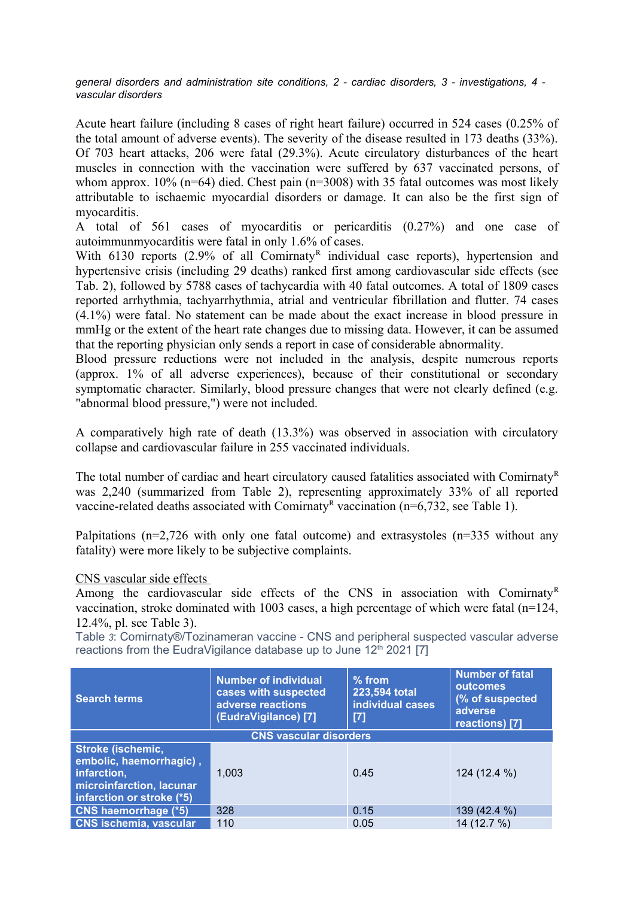*general disorders and administration site conditions, 2 - cardiac disorders, 3 - investigations, 4 vascular disorders*

Acute heart failure (including 8 cases of right heart failure) occurred in 524 cases (0.25% of the total amount of adverse events). The severity of the disease resulted in 173 deaths (33%). Of 703 heart attacks, 206 were fatal (29.3%). Acute circulatory disturbances of the heart muscles in connection with the vaccination were suffered by 637 vaccinated persons, of whom approx.  $10\%$  (n=64) died. Chest pain (n=3008) with 35 fatal outcomes was most likely attributable to ischaemic myocardial disorders or damage. It can also be the first sign of myocarditis.

A total of 561 cases of myocarditis or pericarditis (0.27%) and one case of autoimmunmyocarditis were fatal in only 1.6% of cases.

With  $6130$  reports (2.9% of all Comirnaty<sup>R</sup> individual case reports), hypertension and hypertensive crisis (including 29 deaths) ranked first among cardiovascular side effects (see Tab. 2), followed by 5788 cases of tachycardia with 40 fatal outcomes. A total of 1809 cases reported arrhythmia, tachyarrhythmia, atrial and ventricular fibrillation and flutter. 74 cases (4.1%) were fatal. No statement can be made about the exact increase in blood pressure in mmHg or the extent of the heart rate changes due to missing data. However, it can be assumed that the reporting physician only sends a report in case of considerable abnormality.

Blood pressure reductions were not included in the analysis, despite numerous reports (approx. 1% of all adverse experiences), because of their constitutional or secondary symptomatic character. Similarly, blood pressure changes that were not clearly defined (e.g. "abnormal blood pressure,") were not included.

A comparatively high rate of death (13.3%) was observed in association with circulatory collapse and cardiovascular failure in 255 vaccinated individuals.

The total number of cardiac and heart circulatory caused fatalities associated with Comirnaty<sup>R</sup> was 2,240 (summarized from Table 2), representing approximately 33% of all reported vaccine-related deaths associated with Comirnaty<sup>R</sup> vaccination ( $n=6,732$ , see Table 1).

Palpitations ( $n=2,726$  with only one fatal outcome) and extrasystoles ( $n=335$  without any fatality) were more likely to be subjective complaints.

#### CNS vascular side effects

Among the cardiovascular side effects of the CNS in association with Comirnaty<sup>R</sup> vaccination, stroke dominated with 1003 cases, a high percentage of which were fatal (n=124, 12.4%, pl. see Table 3).

Table *3*: Comirnaty®/Tozinameran vaccine - CNS and peripheral suspected vascular adverse reactions from the EudraVigilance database up to June 12<sup>th</sup> 2021 [7]

| <b>Search terms</b>                                                                                                         | <b>Number of individual</b><br>cases with suspected<br>adverse reactions<br>(EudraVigilance) [7] | $%$ from<br>223,594 total<br>individual cases<br>[7] | <b>Number of fatal</b><br>outcomes<br>(% of suspected<br>adverse<br>reactions) [7] |
|-----------------------------------------------------------------------------------------------------------------------------|--------------------------------------------------------------------------------------------------|------------------------------------------------------|------------------------------------------------------------------------------------|
| <b>CNS vascular disorders</b>                                                                                               |                                                                                                  |                                                      |                                                                                    |
| <b>Stroke (ischemic,</b><br>embolic, haemorrhagic),<br>infarction,<br>microinfarction, lacunar<br>infarction or stroke (*5) | 1.003                                                                                            | 0.45                                                 | 124 (12.4 %)                                                                       |
| <b>CNS haemorrhage (*5)</b>                                                                                                 | 328                                                                                              | 0.15                                                 | 139 (42.4 %)                                                                       |
| <b>CNS ischemia, vascular</b>                                                                                               | 110                                                                                              | 0.05                                                 | 14 (12.7 %)                                                                        |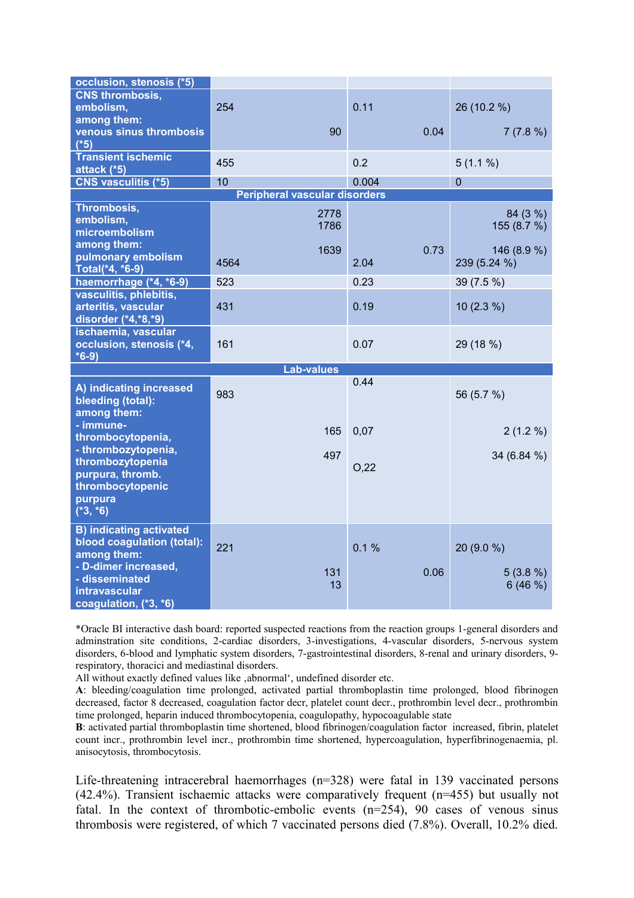| occlusion, stenosis (*5)       |                                      |       |                     |
|--------------------------------|--------------------------------------|-------|---------------------|
| <b>CNS thrombosis,</b>         |                                      |       |                     |
| embolism,                      | 254                                  | 0.11  | 26 (10.2 %)         |
| among them:                    |                                      |       |                     |
| venous sinus thrombosis        | 90                                   |       | 0.04<br>7(7.8%)     |
| $(*5)$                         |                                      |       |                     |
| <b>Transient ischemic</b>      | 455                                  | 0.2   | $5(1.1\%)$          |
| attack (*5)                    |                                      |       |                     |
| <b>CNS vasculitis (*5)</b>     | 10                                   | 0.004 | $\overline{0}$      |
|                                | <b>Peripheral vascular disorders</b> |       |                     |
| Thrombosis,                    | 2778                                 |       | 84 (3 %)            |
| embolism,                      | 1786                                 |       | 155 (8.7 %)         |
| microembolism                  |                                      |       |                     |
| among them:                    | 1639                                 |       | 0.73<br>146 (8.9 %) |
| pulmonary embolism             | 4564                                 | 2.04  | 239 (5.24 %)        |
| Total(*4, *6-9)                |                                      |       |                     |
| haemorrhage (*4, *6-9)         | 523                                  | 0.23  | 39 (7.5 %)          |
| vasculitis, phlebitis,         |                                      |       |                     |
| arteritis, vascular            | 431                                  | 0.19  | $10(2.3\%)$         |
| disorder (*4,*8,*9)            |                                      |       |                     |
| ischaemia, vascular            |                                      |       |                     |
|                                |                                      |       |                     |
| occlusion, stenosis (*4,       | 161                                  | 0.07  | 29 (18 %)           |
| $*6-9)$                        |                                      |       |                     |
|                                | <b>Lab-values</b>                    |       |                     |
| A) indicating increased        |                                      | 0.44  |                     |
| bleeding (total):              | 983                                  |       | 56 (5.7 %)          |
| among them:                    |                                      |       |                     |
| - immune-                      |                                      |       |                     |
| thrombocytopenia,              | 165                                  | 0,07  | $2(1.2\%)$          |
| - thrombozytopenia,            |                                      |       |                     |
| thrombozytopenia               | 497                                  |       | 34 (6.84 %)         |
| purpura, thromb.               |                                      | O,22  |                     |
| thrombocytopenic               |                                      |       |                     |
| purpura                        |                                      |       |                     |
| $(*3, *6)$                     |                                      |       |                     |
| <b>B) indicating activated</b> |                                      |       |                     |
| blood coagulation (total):     |                                      |       |                     |
| among them:                    | 221                                  | 0.1%  | 20 (9.0 %)          |
| - D-dimer increased,           |                                      |       |                     |
| - disseminated                 | 131                                  |       | 0.06<br>$5(3.8\%)$  |
| intravascular                  | 13                                   |       | 6(46%)              |

\*Oracle BI interactive dash board: reported suspected reactions from the reaction groups 1-general disorders and adminstration site conditions, 2-cardiac disorders, 3-investigations, 4-vascular disorders, 5-nervous system disorders, 6-blood and lymphatic system disorders, 7-gastrointestinal disorders, 8-renal and urinary disorders, 9 respiratory, thoracici and mediastinal disorders.

All without exactly defined values like , abnormal', undefined disorder etc.

**A**: bleeding/coagulation time prolonged, activated partial thromboplastin time prolonged, blood fibrinogen decreased, factor 8 decreased, coagulation factor decr, platelet count decr., prothrombin level decr., prothrombin time prolonged, heparin induced thrombocytopenia, coagulopathy, hypocoagulable state

**B**: activated partial thromboplastin time shortened, blood fibrinogen/coagulation factor increased, fibrin, platelet count incr., prothrombin level incr., prothrombin time shortened, hypercoagulation, hyperfibrinogenaemia, pl. anisocytosis, thrombocytosis.

Life-threatening intracerebral haemorrhages (n=328) were fatal in 139 vaccinated persons (42.4%). Transient ischaemic attacks were comparatively frequent (n=455) but usually not fatal. In the context of thrombotic-embolic events (n=254), 90 cases of venous sinus thrombosis were registered, of which 7 vaccinated persons died (7.8%). Overall, 10.2% died.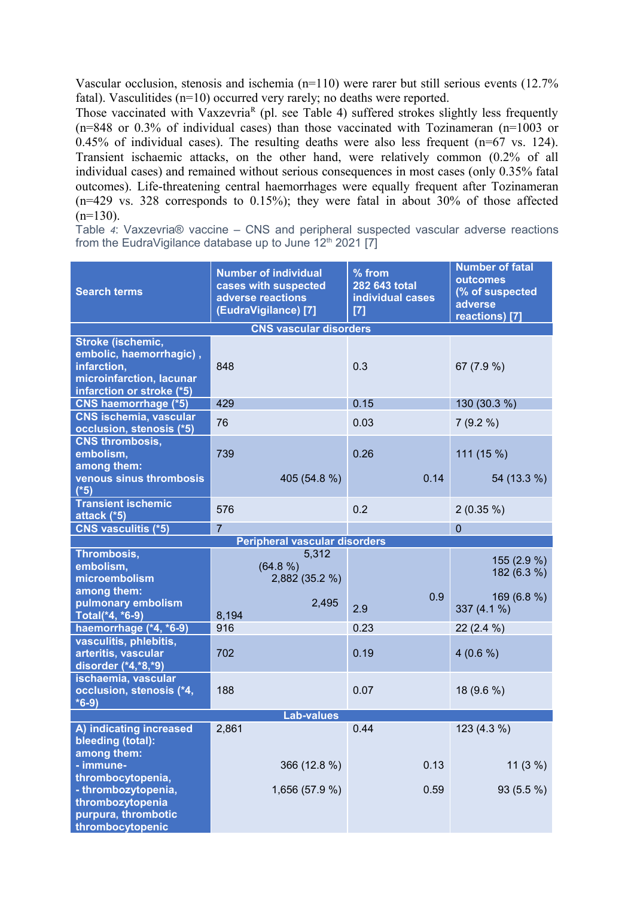Vascular occlusion, stenosis and ischemia (n=110) were rarer but still serious events (12.7% fatal). Vasculitides (n=10) occurred very rarely; no deaths were reported.

Those vaccinated with Vaxzevria<sup>R</sup> (pl. see Table 4) suffered strokes slightly less frequently (n=848 or 0.3% of individual cases) than those vaccinated with Tozinameran (n=1003 or 0.45% of individual cases). The resulting deaths were also less frequent (n=67 vs. 124). Transient ischaemic attacks, on the other hand, were relatively common (0.2% of all individual cases) and remained without serious consequences in most cases (only 0.35% fatal outcomes). Life-threatening central haemorrhages were equally frequent after Tozinameran (n=429 vs. 328 corresponds to 0.15%); they were fatal in about 30% of those affected  $(n=130)$ .

Table *4*: Vaxzevria® vaccine – CNS and peripheral suspected vascular adverse reactions from the EudraVigilance database up to June  $12<sup>th</sup> 2021$  [7]

| <b>Search terms</b>                                                                                                  | <b>Number of individual</b><br>cases with suspected<br>adverse reactions<br>(EudraVigilance) [7] | % from<br>282 643 total<br>individual cases<br>$[7]$ | <b>Number of fatal</b><br>outcomes<br>(% of suspected<br>adverse<br>reactions) [7] |  |
|----------------------------------------------------------------------------------------------------------------------|--------------------------------------------------------------------------------------------------|------------------------------------------------------|------------------------------------------------------------------------------------|--|
|                                                                                                                      | <b>CNS vascular disorders</b>                                                                    |                                                      |                                                                                    |  |
| Stroke (ischemic,<br>embolic, haemorrhagic),<br>infarction,<br>microinfarction, lacunar<br>infarction or stroke (*5) | 848                                                                                              | 0.3                                                  | 67 (7.9 %)                                                                         |  |
| CNS haemorrhage (*5)                                                                                                 | 429                                                                                              | 0.15                                                 | 130 (30.3 %)                                                                       |  |
| <b>CNS ischemia, vascular</b><br>occlusion, stenosis (*5)                                                            | 76                                                                                               | 0.03                                                 | 7(9.2%                                                                             |  |
| <b>CNS thrombosis,</b><br>embolism,<br>among them:                                                                   | 739                                                                                              | 0.26                                                 | 111 (15 %)                                                                         |  |
| venous sinus thrombosis<br>$(*5)$                                                                                    | 405 (54.8 %)                                                                                     | 0.14                                                 | 54 (13.3 %)                                                                        |  |
| <b>Transient ischemic</b><br>attack (*5)                                                                             | 576                                                                                              | 0.2                                                  | $2(0.35\%)$                                                                        |  |
| <b>CNS vasculitis (*5)</b>                                                                                           | $\overline{7}$                                                                                   |                                                      | $\mathbf 0$                                                                        |  |
|                                                                                                                      | <b>Peripheral vascular disorders</b>                                                             |                                                      |                                                                                    |  |
| Thrombosis,<br>embolism,<br>microembolism<br>among them:                                                             | 5,312<br>(64.8 %)<br>2,882 (35.2 %)                                                              |                                                      | 155 (2.9 %)<br>182 (6.3 %)                                                         |  |
| pulmonary embolism<br>Total(*4, *6-9)                                                                                | 2,495<br>8,194                                                                                   | 0.9<br>2.9                                           | 169 (6.8 %)<br>337 (4.1 %)                                                         |  |
| haemorrhage (*4, *6-9)                                                                                               | 916                                                                                              | 0.23                                                 | $22(2.4\%)$                                                                        |  |
| vasculitis, phlebitis,<br>arteritis, vascular<br>disorder (*4,*8,*9)                                                 | 702                                                                                              | 0.19                                                 | $4(0.6\%)$                                                                         |  |
| ischaemia, vascular<br>occlusion, stenosis (*4,<br>$*6-9)$                                                           | 188                                                                                              | 0.07                                                 | 18 (9.6 %)                                                                         |  |
| <b>Lab-values</b>                                                                                                    |                                                                                                  |                                                      |                                                                                    |  |
| A) indicating increased<br>bleeding (total):                                                                         | 2,861                                                                                            | 0.44                                                 | 123 (4.3 %)                                                                        |  |
| among them:<br>- immune-                                                                                             | 366 (12.8 %)                                                                                     | 0.13                                                 | 11(3%)                                                                             |  |
| thrombocytopenia,<br>- thrombozytopenia,<br>thrombozytopenia<br>purpura, thrombotic<br>thrombocytopenic              | 1,656 (57.9 %)                                                                                   | 0.59                                                 | 93 (5.5 %)                                                                         |  |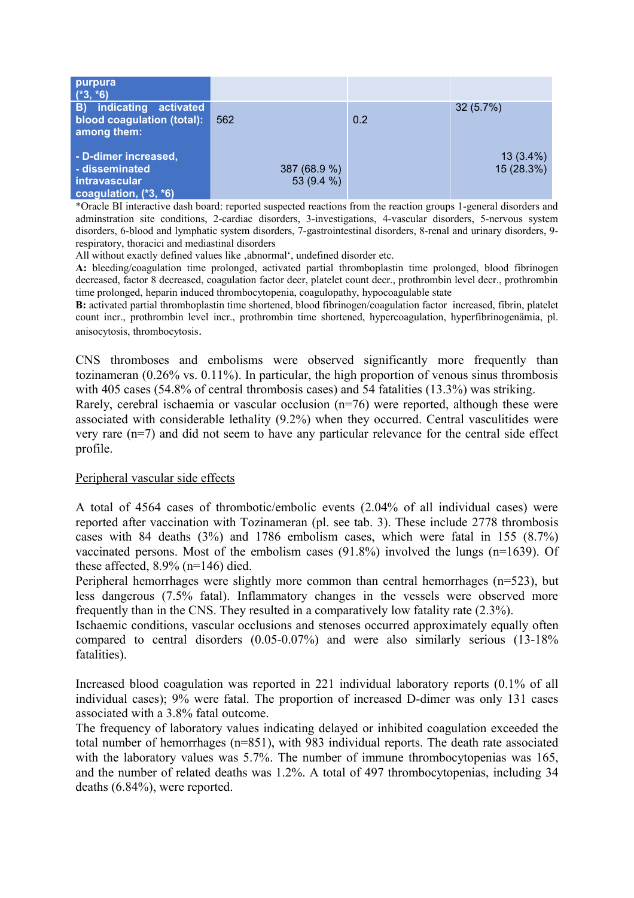| purpura<br>$(*3, *6)$                                                                     |                            |     |                           |
|-------------------------------------------------------------------------------------------|----------------------------|-----|---------------------------|
| B) indicating activated<br>blood coagulation (total):<br>among them:                      | 562                        | 0.2 | 32(5.7%)                  |
| - D-dimer increased,<br>- disseminated<br><i>intravascular</i><br>coagulation, $(*3, *6)$ | 387 (68.9 %)<br>53 (9.4 %) |     | $13(3.4\%)$<br>15 (28.3%) |

\*Oracle BI interactive dash board: reported suspected reactions from the reaction groups 1-general disorders and adminstration site conditions, 2-cardiac disorders, 3-investigations, 4-vascular disorders, 5-nervous system disorders, 6-blood and lymphatic system disorders, 7-gastrointestinal disorders, 8-renal and urinary disorders, 9 respiratory, thoracici and mediastinal disorders

All without exactly defined values like , abnormal', undefined disorder etc.

**A:** bleeding/coagulation time prolonged, activated partial thromboplastin time prolonged, blood fibrinogen decreased, factor 8 decreased, coagulation factor decr, platelet count decr., prothrombin level decr., prothrombin time prolonged, heparin induced thrombocytopenia, coagulopathy, hypocoagulable state

**B:** activated partial thromboplastin time shortened, blood fibrinogen/coagulation factor increased, fibrin, platelet count incr., prothrombin level incr., prothrombin time shortened, hypercoagulation, hyperfibrinogenämia, pl. anisocytosis, thrombocytosis.

CNS thromboses and embolisms were observed significantly more frequently than tozinameran (0.26% vs. 0.11%). In particular, the high proportion of venous sinus thrombosis with 405 cases (54.8% of central thrombosis cases) and 54 fatalities (13.3%) was striking.

Rarely, cerebral ischaemia or vascular occlusion (n=76) were reported, although these were associated with considerable lethality (9.2%) when they occurred. Central vasculitides were very rare (n=7) and did not seem to have any particular relevance for the central side effect profile.

#### Peripheral vascular side effects

A total of 4564 cases of thrombotic/embolic events (2.04% of all individual cases) were reported after vaccination with Tozinameran (pl. see tab. 3). These include 2778 thrombosis cases with 84 deaths (3%) and 1786 embolism cases, which were fatal in 155 (8.7%) vaccinated persons. Most of the embolism cases (91.8%) involved the lungs (n=1639). Of these affected, 8.9% (n=146) died.

Peripheral hemorrhages were slightly more common than central hemorrhages (n=523), but less dangerous (7.5% fatal). Inflammatory changes in the vessels were observed more frequently than in the CNS. They resulted in a comparatively low fatality rate (2.3%).

Ischaemic conditions, vascular occlusions and stenoses occurred approximately equally often compared to central disorders (0.05-0.07%) and were also similarly serious (13-18% fatalities).

Increased blood coagulation was reported in 221 individual laboratory reports (0.1% of all individual cases); 9% were fatal. The proportion of increased D-dimer was only 131 cases associated with a 3.8% fatal outcome.

The frequency of laboratory values indicating delayed or inhibited coagulation exceeded the total number of hemorrhages (n=851), with 983 individual reports. The death rate associated with the laboratory values was 5.7%. The number of immune thrombocytopenias was 165, and the number of related deaths was 1.2%. A total of 497 thrombocytopenias, including 34 deaths (6.84%), were reported.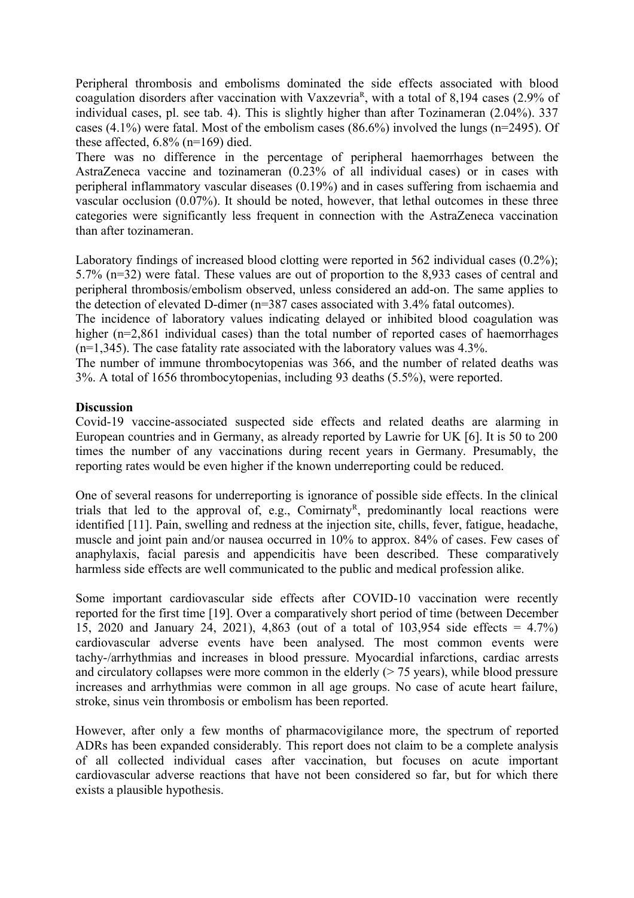Peripheral thrombosis and embolisms dominated the side effects associated with blood coagulation disorders after vaccination with Vaxzevria<sup>R</sup>, with a total of 8,194 cases (2.9% of individual cases, pl. see tab. 4). This is slightly higher than after Tozinameran (2.04%). 337 cases (4.1%) were fatal. Most of the embolism cases (86.6%) involved the lungs (n=2495). Of these affected,  $6.8\%$  (n=169) died.

There was no difference in the percentage of peripheral haemorrhages between the AstraZeneca vaccine and tozinameran (0.23% of all individual cases) or in cases with peripheral inflammatory vascular diseases (0.19%) and in cases suffering from ischaemia and vascular occlusion (0.07%). It should be noted, however, that lethal outcomes in these three categories were significantly less frequent in connection with the AstraZeneca vaccination than after tozinameran.

Laboratory findings of increased blood clotting were reported in 562 individual cases (0.2%); 5.7% (n=32) were fatal. These values are out of proportion to the 8,933 cases of central and peripheral thrombosis/embolism observed, unless considered an add-on. The same applies to the detection of elevated D-dimer (n=387 cases associated with 3.4% fatal outcomes).

The incidence of laboratory values indicating delayed or inhibited blood coagulation was higher (n=2,861 individual cases) than the total number of reported cases of haemorrhages (n=1,345). The case fatality rate associated with the laboratory values was 4.3%.

The number of immune thrombocytopenias was 366, and the number of related deaths was 3%. A total of 1656 thrombocytopenias, including 93 deaths (5.5%), were reported.

#### **Discussion**

Covid-19 vaccine-associated suspected side effects and related deaths are alarming in European countries and in Germany, as already reported by Lawrie for UK [6]. It is 50 to 200 times the number of any vaccinations during recent years in Germany. Presumably, the reporting rates would be even higher if the known underreporting could be reduced.

One of several reasons for underreporting is ignorance of possible side effects. In the clinical trials that led to the approval of, e.g., Comirnaty<sup>R</sup>, predominantly local reactions were identified [11]. Pain, swelling and redness at the injection site, chills, fever, fatigue, headache, muscle and joint pain and/or nausea occurred in 10% to approx. 84% of cases. Few cases of anaphylaxis, facial paresis and appendicitis have been described. These comparatively harmless side effects are well communicated to the public and medical profession alike.

Some important cardiovascular side effects after COVID-10 vaccination were recently reported for the first time [19]. Over a comparatively short period of time (between December 15, 2020 and January 24, 2021), 4,863 (out of a total of 103,954 side effects = 4.7%) cardiovascular adverse events have been analysed. The most common events were tachy-/arrhythmias and increases in blood pressure. Myocardial infarctions, cardiac arrests and circulatory collapses were more common in the elderly  $($  >  $75$  years), while blood pressure increases and arrhythmias were common in all age groups. No case of acute heart failure, stroke, sinus vein thrombosis or embolism has been reported.

However, after only a few months of pharmacovigilance more, the spectrum of reported ADRs has been expanded considerably. This report does not claim to be a complete analysis of all collected individual cases after vaccination, but focuses on acute important cardiovascular adverse reactions that have not been considered so far, but for which there exists a plausible hypothesis.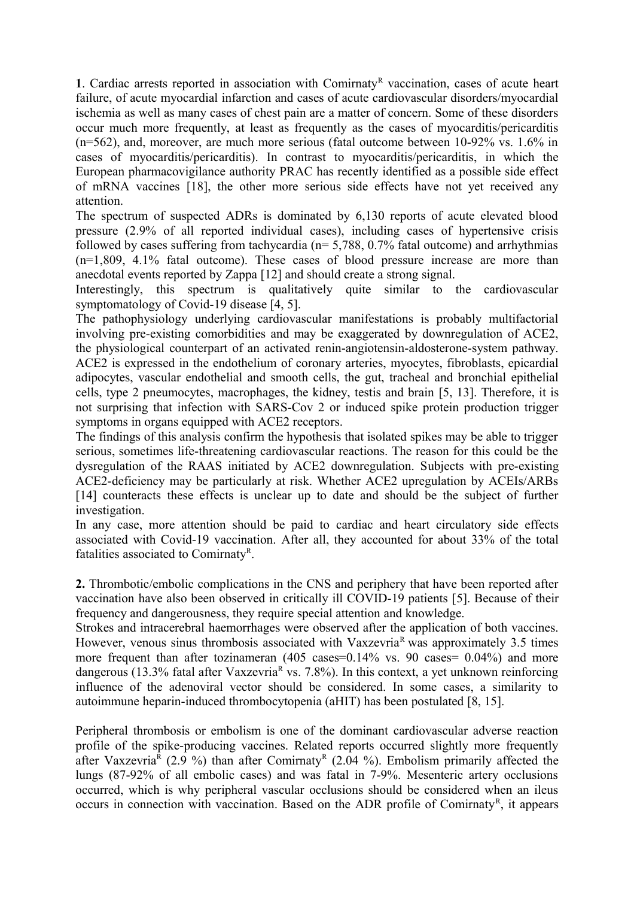1. Cardiac arrests reported in association with Comirnaty<sup>R</sup> vaccination, cases of acute heart failure, of acute myocardial infarction and cases of acute cardiovascular disorders/myocardial ischemia as well as many cases of chest pain are a matter of concern. Some of these disorders occur much more frequently, at least as frequently as the cases of myocarditis/pericarditis (n=562), and, moreover, are much more serious (fatal outcome between 10-92% vs. 1.6% in cases of myocarditis/pericarditis). In contrast to myocarditis/pericarditis, in which the European pharmacovigilance authority PRAC has recently identified as a possible side effect of mRNA vaccines [18], the other more serious side effects have not yet received any attention.

The spectrum of suspected ADRs is dominated by 6,130 reports of acute elevated blood pressure (2.9% of all reported individual cases), including cases of hypertensive crisis followed by cases suffering from tachycardia ( $n= 5,788, 0.7\%$  fatal outcome) and arrhythmias (n=1,809, 4.1% fatal outcome). These cases of blood pressure increase are more than anecdotal events reported by Zappa [12] and should create a strong signal.

Interestingly, this spectrum is qualitatively quite similar to the cardiovascular symptomatology of Covid-19 disease [4, 5].

The pathophysiology underlying cardiovascular manifestations is probably multifactorial involving pre-existing comorbidities and may be exaggerated by downregulation of ACE2, the physiological counterpart of an activated renin-angiotensin-aldosterone-system pathway. ACE2 is expressed in the endothelium of coronary arteries, myocytes, fibroblasts, epicardial adipocytes, vascular endothelial and smooth cells, the gut, tracheal and bronchial epithelial cells, type 2 pneumocytes, macrophages, the kidney, testis and brain [5, 13]. Therefore, it is not surprising that infection with SARS-Cov 2 or induced spike protein production trigger symptoms in organs equipped with ACE2 receptors.

The findings of this analysis confirm the hypothesis that isolated spikes may be able to trigger serious, sometimes life-threatening cardiovascular reactions. The reason for this could be the dysregulation of the RAAS initiated by ACE2 downregulation. Subjects with pre-existing ACE2-deficiency may be particularly at risk. Whether ACE2 upregulation by ACEIs/ARBs [14] counteracts these effects is unclear up to date and should be the subject of further investigation.

In any case, more attention should be paid to cardiac and heart circulatory side effects associated with Covid-19 vaccination. After all, they accounted for about 33% of the total fatalities associated to Comirnaty<sup>R</sup>.

**2.** Thrombotic/embolic complications in the CNS and periphery that have been reported after vaccination have also been observed in critically ill COVID-19 patients [5]. Because of their frequency and dangerousness, they require special attention and knowledge.

Strokes and intracerebral haemorrhages were observed after the application of both vaccines. However, venous sinus thrombosis associated with Vaxzevria<sup>R</sup> was approximately 3.5 times more frequent than after tozinameran (405 cases=0.14% vs. 90 cases= 0.04%) and more dangerous (13.3% fatal after Vaxzevria<sup>R</sup> vs. 7.8%). In this context, a yet unknown reinforcing influence of the adenoviral vector should be considered. In some cases, a similarity to autoimmune heparin-induced thrombocytopenia (aHIT) has been postulated [8, 15].

Peripheral thrombosis or embolism is one of the dominant cardiovascular adverse reaction profile of the spike-producing vaccines. Related reports occurred slightly more frequently after Vaxzevria<sup>R</sup> (2.9 %) than after Comirnaty<sup>R</sup> (2.04 %). Embolism primarily affected the lungs (87-92% of all embolic cases) and was fatal in 7-9%. Mesenteric artery occlusions occurred, which is why peripheral vascular occlusions should be considered when an ileus occurs in connection with vaccination. Based on the ADR profile of Comirnaty<sup>R</sup>, it appears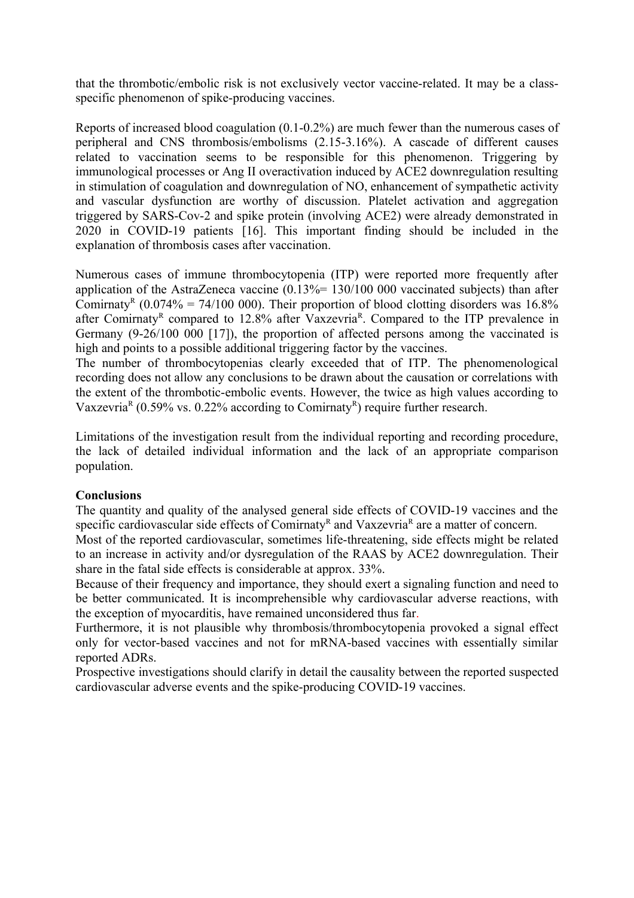that the thrombotic/embolic risk is not exclusively vector vaccine-related. It may be a classspecific phenomenon of spike-producing vaccines.

Reports of increased blood coagulation (0.1-0.2%) are much fewer than the numerous cases of peripheral and CNS thrombosis/embolisms (2.15-3.16%). A cascade of different causes related to vaccination seems to be responsible for this phenomenon. Triggering by immunological processes or Ang II overactivation induced by ACE2 downregulation resulting in stimulation of coagulation and downregulation of NO, enhancement of sympathetic activity and vascular dysfunction are worthy of discussion. Platelet activation and aggregation triggered by SARS-Cov-2 and spike protein (involving ACE2) were already demonstrated in 2020 in COVID-19 patients [16]. This important finding should be included in the explanation of thrombosis cases after vaccination.

Numerous cases of immune thrombocytopenia (ITP) were reported more frequently after application of the AstraZeneca vaccine  $(0.13\% = 130/100\,000$  vaccinated subjects) than after Comirnaty<sup>R</sup> (0.074% = 74/100 000). Their proportion of blood clotting disorders was 16.8% after Comirnaty<sup>R</sup> compared to 12.8% after Vaxzevria<sup>R</sup>. Compared to the ITP prevalence in Germany (9-26/100 000 [17]), the proportion of affected persons among the vaccinated is high and points to a possible additional triggering factor by the vaccines.

The number of thrombocytopenias clearly exceeded that of ITP. The phenomenological recording does not allow any conclusions to be drawn about the causation or correlations with the extent of the thrombotic-embolic events. However, the twice as high values according to Vaxzevria<sup>R</sup> (0.59% vs. 0.22% according to Comirnaty<sup>R</sup>) require further research.

Limitations of the investigation result from the individual reporting and recording procedure, the lack of detailed individual information and the lack of an appropriate comparison population.

#### **Conclusions**

The quantity and quality of the analysed general side effects of COVID-19 vaccines and the specific cardiovascular side effects of Comirnaty<sup>R</sup> and Vaxzevria<sup>R</sup> are a matter of concern.

Most of the reported cardiovascular, sometimes life-threatening, side effects might be related to an increase in activity and/or dysregulation of the RAAS by ACE2 downregulation. Their share in the fatal side effects is considerable at approx. 33%.

Because of their frequency and importance, they should exert a signaling function and need to be better communicated. It is incomprehensible why cardiovascular adverse reactions, with the exception of myocarditis, have remained unconsidered thus far.

Furthermore, it is not plausible why thrombosis/thrombocytopenia provoked a signal effect only for vector-based vaccines and not for mRNA-based vaccines with essentially similar reported ADRs.

Prospective investigations should clarify in detail the causality between the reported suspected cardiovascular adverse events and the spike-producing COVID-19 vaccines.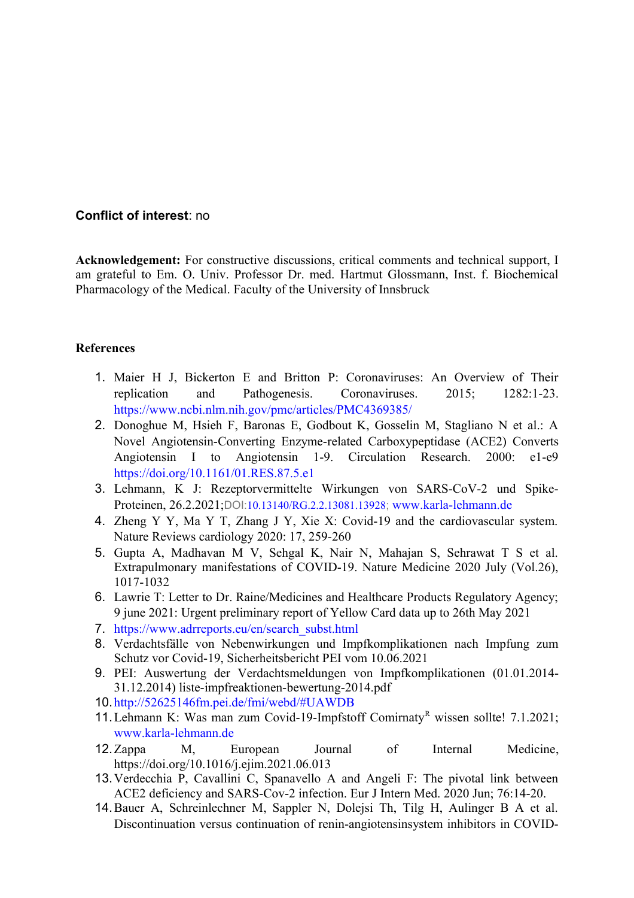## **Conflict of interest**: no

**Acknowledgement:** For constructive discussions, critical comments and technical support, I am grateful to Em. O. Univ. Professor Dr. med. Hartmut Glossmann, Inst. f. Biochemical Pharmacology of the Medical. Faculty of the University of Innsbruck

#### **References**

- 1. Maier H J, Bickerton E and Britton P: Coronaviruses: An Overview of Their replication and Pathogenesis. Coronaviruses. 2015; 1282:1-23. <https://www.ncbi.nlm.nih.gov/pmc/articles/PMC4369385/>
- 2. Donoghue M, Hsieh F, Baronas E, Godbout K, Gosselin M, Stagliano N et al.: A Novel Angiotensin-Converting Enzyme-related Carboxypeptidase (ACE2) Converts Angiotensin I to Angiotensin 1-9. Circulation Research. 2000: e1-e9 <https://doi.org/10.1161/01.RES.87.5.e1>
- 3. Lehmann, K J: Rezeptorvermittelte Wirkungen von SARS-CoV-2 und Spike-Proteinen, 26.2.2021;DOI:[10.13140/RG.2.2.13081.13928](http://dx.doi.org/10.13140/RG.2.2.13081.13928); [www.karla-lehmann.de](http://www.karla-lehmann.de/)
- 4. Zheng Y Y, Ma Y T, Zhang J Y, Xie X: Covid-19 and the cardiovascular system. Nature Reviews cardiology 2020: 17, 259-260
- 5. Gupta A, Madhavan M V, Sehgal K, Nair N, Mahajan S, Sehrawat T S et al. Extrapulmonary manifestations of COVID-19. Nature Medicine 2020 July (Vol.26), 1017-1032
- 6. Lawrie T: Letter to Dr. Raine/Medicines and Healthcare Products Regulatory Agency; 9 june 2021: Urgent preliminary report of Yellow Card data up to 26th May 2021
- 7. [https://www.adrreports.eu/en/search\\_subst.html](https://www.adrreports.eu/en/search_subst.html)
- 8. Verdachtsfälle von Nebenwirkungen und Impfkomplikationen nach Impfung zum Schutz vor Covid-19, Sicherheitsbericht PEI vom 10.06.2021
- 9. PEI: Auswertung der Verdachtsmeldungen von Impfkomplikationen (01.01.2014- 31.12.2014) liste-impfreaktionen-bewertung-2014.pdf
- 10.[http://52625146fm.pei.de/fmi/webd/#UAWDB](#page-12-0)
- <span id="page-12-0"></span>11. Lehmann K: Was man zum Covid-19-Impfstoff Comirnaty<sup>R</sup> wissen sollte! 7.1.2021; [www.karla-lehmann.de](http://www.karla-lehmann.de/)
- 12.Zappa M, European Journal of Internal Medicine, https://doi.org/10.1016/j.ejim.2021.06.013
- 13.Verdecchia P, Cavallini C, Spanavello A and Angeli F: The pivotal link between ACE2 deficiency and SARS-Cov-2 infection. Eur J Intern Med. 2020 Jun; 76:14-20.
- 14.Bauer A, Schreinlechner M, Sappler N, Dolejsi Th, Tilg H, Aulinger B A et al. Discontinuation versus continuation of renin-angiotensinsystem inhibitors in COVID-